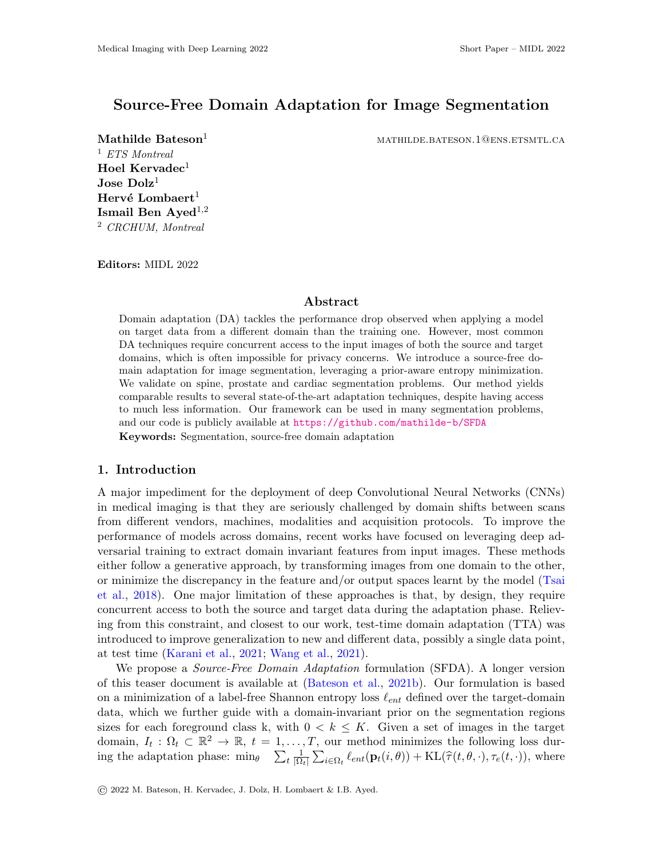# Source-Free Domain Adaptation for Image Segmentation

<sup>1</sup> ETS Montreal Hoel Kervadec<sup>1</sup>  $\bf Jose\ Dolz^1$ Hervé Lombaert<sup>1</sup> Ismail Ben Ayed<sup>1,2</sup> <sup>2</sup> CRCHUM, Montreal

**Mathilde Bateson**<sup>1</sup> mathematic mathematic mathematic mathematic mathematic mathematic mathematic mathematic mathematic mathematic mathematic mathematic mathematic mathematic mathematic mathematic mathematic mathematic m

Editors: MIDL 2022

#### Abstract

Domain adaptation (DA) tackles the performance drop observed when applying a model on target data from a different domain than the training one. However, most common DA techniques require concurrent access to the input images of both the source and target domains, which is often impossible for privacy concerns. We introduce a source-free domain adaptation for image segmentation, leveraging a prior-aware entropy minimization. We validate on spine, prostate and cardiac segmentation problems. Our method yields comparable results to several state-of-the-art adaptation techniques, despite having access to much less information. Our framework can be used in many segmentation problems, and our code is publicly available at <https://github.com/mathilde-b/SFDA> Keywords: Segmentation, source-free domain adaptation

#### 1. Introduction

A major impediment for the deployment of deep Convolutional Neural Networks (CNNs) in medical imaging is that they are seriously challenged by domain shifts between scans from different vendors, machines, modalities and acquisition protocols. To improve the performance of models across domains, recent works have focused on leveraging deep adversarial training to extract domain invariant features from input images. These methods either follow a generative approach, by transforming images from one domain to the other, or minimize the discrepancy in the feature and/or output spaces learnt by the model [\(Tsai](#page-2-0) [et al.,](#page-2-0) [2018\)](#page-2-0). One major limitation of these approaches is that, by design, they require concurrent access to both the source and target data during the adaptation phase. Relieving from this constraint, and closest to our work, test-time domain adaptation (TTA) was introduced to improve generalization to new and different data, possibly a single data point, at test time [\(Karani et al.,](#page-2-1) [2021;](#page-2-1) [Wang et al.,](#page-2-2) [2021\)](#page-2-2).

We propose a *Source-Free Domain Adaptation* formulation (SFDA). A longer version of this teaser document is available at [\(Bateson et al.,](#page-2-3) [2021b\)](#page-2-3). Our formulation is based on a minimization of a label-free Shannon entropy loss  $\ell_{ent}$  defined over the target-domain data, which we further guide with a domain-invariant prior on the segmentation regions sizes for each foreground class k, with  $0 < k \leq K$ . Given a set of images in the target domain,  $I_t: \Omega_t \subset \mathbb{R}^2 \to \mathbb{R}, t = 1, \ldots, T$ , our method minimizes the following loss during the adaptation phase:  $\min_{\theta}$   $\sum_{t} \frac{1}{|\Omega|}$  $\frac{1}{|\Omega_t|} \sum_{i \in \Omega_t} \ell_{ent}(\mathbf{p}_t(i, \theta)) + \text{KL}(\hat{\tau}(t, \theta, \cdot), \tau_e(t, \cdot)),$  where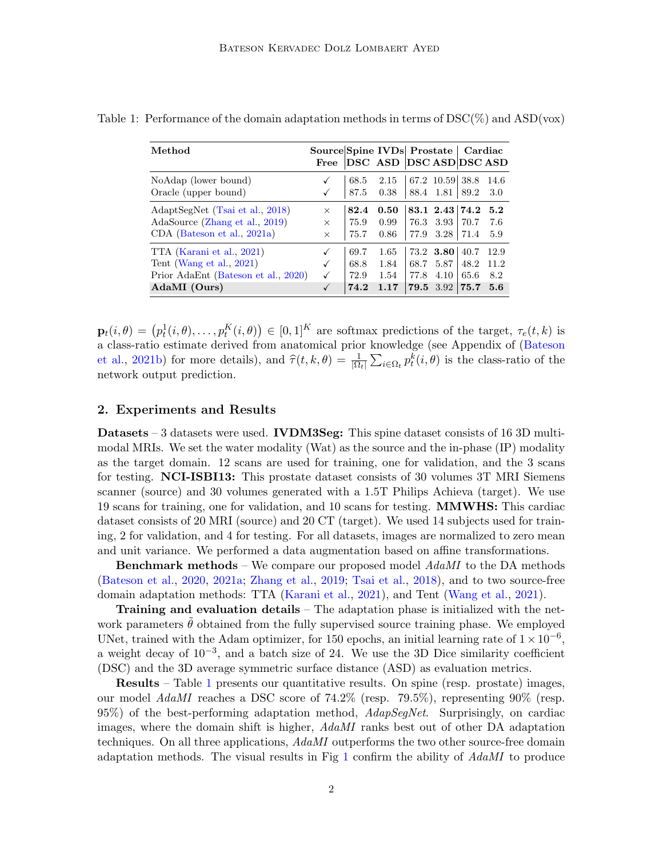| Method                                                                                                       | Source Spine IVDs Prostate   Cardiac<br>Free |                              | DSC ASD DSC ASD DSC ASD                                   |              |                                               |                                              |                            |
|--------------------------------------------------------------------------------------------------------------|----------------------------------------------|------------------------------|-----------------------------------------------------------|--------------|-----------------------------------------------|----------------------------------------------|----------------------------|
| NoAdap (lower bound)<br>Oracle (upper bound)                                                                 |                                              | 68.5<br>87.5                 | $2.15$   67.2 10.59   38.8<br>$0.38$   88.4 $1.81$   89.2 |              |                                               |                                              | -14.6<br>3.0               |
| AdaptSegNet (Tsai et al., 2018)<br>AdaSource (Zhang et al., 2019)<br>CDA (Bateson et al., 2021a)             | $\times$<br>$\times$<br>$\times$             | 82.4<br>75.9<br>75.7         | 0.50<br>0.99<br>0.86                                      | 77.9         | 76.3 3.93<br>3.28                             | $83.1 \t2.43 \t3.74.2 \t5.2$<br>70.7<br>71.4 | 7.6<br>5.9                 |
| TTA (Karani et al., 2021)<br>Tent (Wang et al., 2021)<br>Prior AdaEnt (Bateson et al., 2020)<br>AdaMI (Ours) | ✓<br>√                                       | 69.7<br>68.8<br>72.9<br>74.2 | 1.65<br>1.84<br>1.54<br>1.17                              | 68.7<br>77.8 | 73.2 3.80<br>5.87<br>4.10<br><b>79.5</b> 3.92 | 40.7<br>48.2<br>65.6<br>75.7                 | 12.9<br>11.2<br>8.2<br>5.6 |

<span id="page-1-0"></span>Table 1: Performance of the domain adaptation methods in terms of  $\text{DSC}(\%)$  and  $\text{ASD}(vox)$ 

 $\mathbf{p}_t(i, \theta) = (p_t^1(i, \theta), \dots, p_t^K(i, \theta)) \in [0, 1]^K$  are softmax predictions of the target,  $\tau_e(t, k)$  is a class-ratio estimate derived from anatomical prior knowledge (see Appendix of [\(Bateson](#page-2-3) [et al.,](#page-2-3) [2021b\)](#page-2-3) for more details), and  $\hat{\tau}(t, k, \theta) = \frac{1}{|\Omega_t|} \sum_{i \in \Omega_t} p_t^k(i, \theta)$  is the class-ratio of the network output prediction.

#### 2. Experiments and Results

**Datasets** – 3 datasets were used. **IVDM3Seg:** This spine dataset consists of 16 3D multimodal MRIs. We set the water modality (Wat) as the source and the in-phase (IP) modality as the target domain. 12 scans are used for training, one for validation, and the 3 scans for testing. NCI-ISBI13: This prostate dataset consists of 30 volumes 3T MRI Siemens scanner (source) and 30 volumes generated with a 1.5T Philips Achieva (target). We use 19 scans for training, one for validation, and 10 scans for testing. MMWHS: This cardiac dataset consists of 20 MRI (source) and 20 CT (target). We used 14 subjects used for training, 2 for validation, and 4 for testing. For all datasets, images are normalized to zero mean and unit variance. We performed a data augmentation based on affine transformations.

**Benchmark methods** – We compare our proposed model  $AdaMI$  to the DA methods [\(Bateson et al.,](#page-2-6) [2020,](#page-2-6) [2021a;](#page-2-5) [Zhang et al.,](#page-2-4) [2019;](#page-2-4) [Tsai et al.,](#page-2-0) [2018\)](#page-2-0), and to two source-free domain adaptation methods: TTA [\(Karani et al.,](#page-2-1) [2021\)](#page-2-1), and Tent [\(Wang et al.,](#page-2-2) [2021\)](#page-2-2).

**Training and evaluation details** – The adaptation phase is initialized with the network parameters  $\theta$  obtained from the fully supervised source training phase. We employed UNet, trained with the Adam optimizer, for 150 epochs, an initial learning rate of  $1 \times 10^{-6}$ , a weight decay of  $10^{-3}$ , and a batch size of 24. We use the 3D Dice similarity coefficient (DSC) and the 3D average symmetric surface distance (ASD) as evaluation metrics.

Results – Table [1](#page-1-0) presents our quantitative results. On spine (resp. prostate) images, our model  $AdaMI$  reaches a DSC score of 74.2% (resp. 79.5%), representing 90% (resp. 95%) of the best-performing adaptation method,  $AdapSegNet$ . Surprisingly, on cardiac images, where the domain shift is higher, AdaMI ranks best out of other DA adaptation techniques. On all three applications, AdaMI outperforms the two other source-free domain adaptation methods. The visual results in Fig [1](#page-2-7) confirm the ability of AdaMI to produce